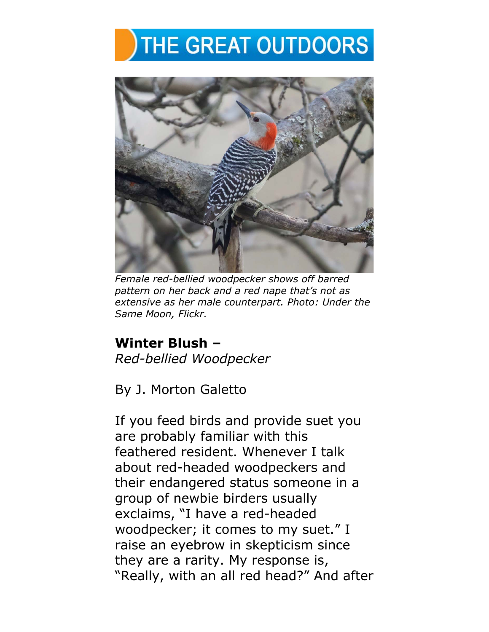## **THE GREAT OUTDOORS**



*Female red-bellied woodpecker shows off barred pattern on her back and a red nape that's not as extensive as her male counterpart. Photo: Under the Same Moon, Flickr.*

## **Winter Blush –** *Red-bellied Woodpecker*

By J. Morton Galetto

If you feed birds and provide suet you are probably familiar with this feathered resident. Whenever I talk about red-headed woodpeckers and their endangered status someone in a group of newbie birders usually exclaims, "I have a red-headed woodpecker; it comes to my suet." I raise an eyebrow in skepticism since they are a rarity. My response is, "Really, with an all red head?" And after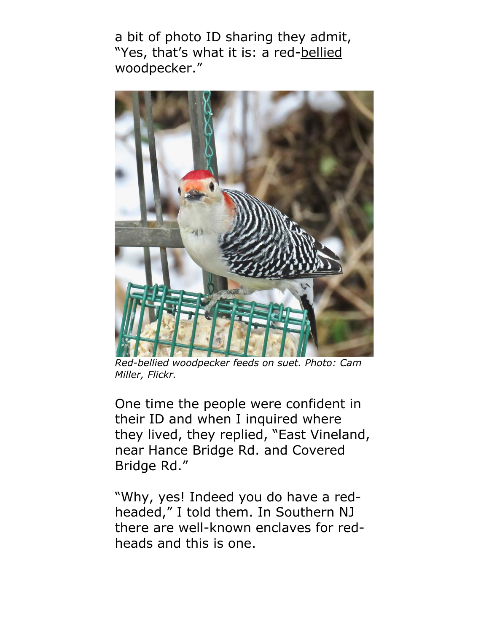a bit of photo ID sharing they admit, "Yes, that's what it is: a red-bellied woodpecker."



*Red-bellied woodpecker feeds on suet. Photo: Cam Miller, Flickr.*

One time the people were confident in their ID and when I inquired where they lived, they replied, "East Vineland, near Hance Bridge Rd. and Covered Bridge Rd."

"Why, yes! Indeed you do have a redheaded," I told them. In Southern NJ there are well-known enclaves for redheads and this is one.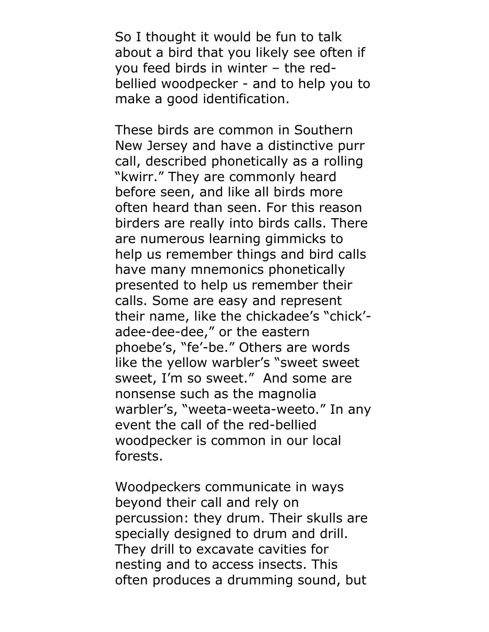So I thought it would be fun to talk about a bird that you likely see often if you feed birds in winter – the redbellied woodpecker - and to help you to make a good identification.

These birds are common in Southern New Jersey and have a distinctive purr call, described phonetically as a rolling "kwirr." They are commonly heard before seen, and like all birds more often heard than seen. For this reason birders are really into birds calls. There are numerous learning gimmicks to help us remember things and bird calls have many mnemonics phonetically presented to help us remember their calls. Some are easy and represent their name, like the chickadee's "chick' adee-dee-dee," or the eastern phoebe's, "fe'-be." Others are words like the yellow warbler's "sweet sweet sweet, I'm so sweet." And some are nonsense such as the magnolia warbler's, "weeta-weeta-weeto." In any event the call of the red-bellied woodpecker is common in our local forests.

Woodpeckers communicate in ways beyond their call and rely on percussion: they drum. Their skulls are specially designed to drum and drill. They drill to excavate cavities for nesting and to access insects. This often produces a drumming sound, but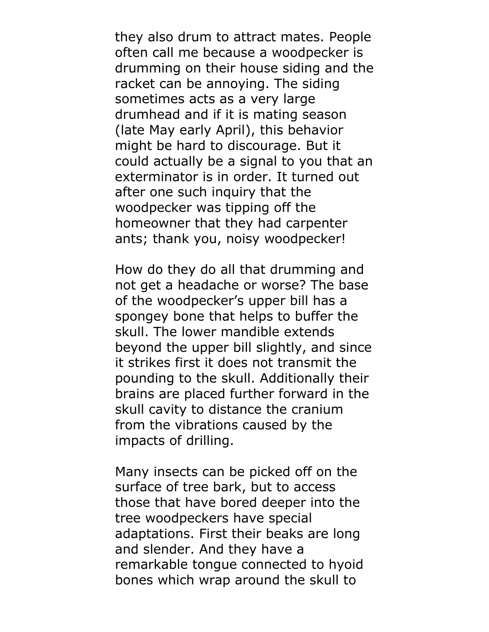they also drum to attract mates. People often call me because a woodpecker is drumming on their house siding and the racket can be annoying. The siding sometimes acts as a very large drumhead and if it is mating season (late May early April), this behavior might be hard to discourage. But it could actually be a signal to you that an exterminator is in order. It turned out after one such inquiry that the woodpecker was tipping off the homeowner that they had carpenter ants; thank you, noisy woodpecker!

How do they do all that drumming and not get a headache or worse? The base of the woodpecker's upper bill has a spongey bone that helps to buffer the skull. The lower mandible extends beyond the upper bill slightly, and since it strikes first it does not transmit the pounding to the skull. Additionally their brains are placed further forward in the skull cavity to distance the cranium from the vibrations caused by the impacts of drilling.

Many insects can be picked off on the surface of tree bark, but to access those that have bored deeper into the tree woodpeckers have special adaptations. First their beaks are long and slender. And they have a remarkable tongue connected to hyoid bones which wrap around the skull to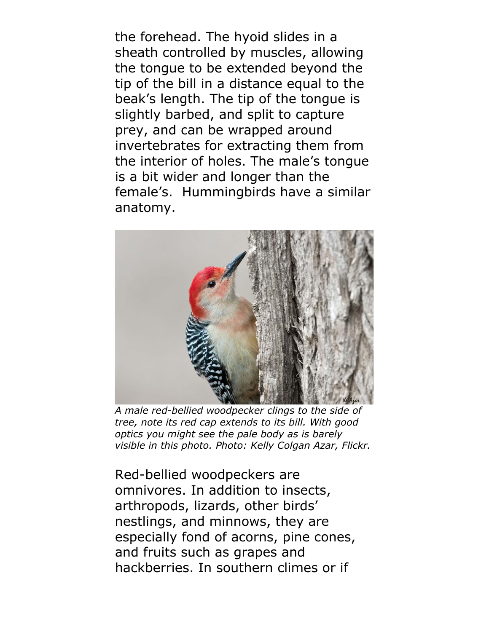the forehead. The hyoid slides in a sheath controlled by muscles, allowing the tongue to be extended beyond the tip of the bill in a distance equal to the beak's length. The tip of the tongue is slightly barbed, and split to capture prey, and can be wrapped around invertebrates for extracting them from the interior of holes. The male's tongue is a bit wider and longer than the female's. Hummingbirds have a similar anatomy.



*A male red-bellied woodpecker clings to the side of tree, note its red cap extends to its bill. With good optics you might see the pale body as is barely visible in this photo. Photo: Kelly Colgan Azar, Flickr.*

Red-bellied woodpeckers are omnivores. In addition to insects, arthropods, lizards, other birds' nestlings, and minnows, they are especially fond of acorns, pine cones, and fruits such as grapes and hackberries. In southern climes or if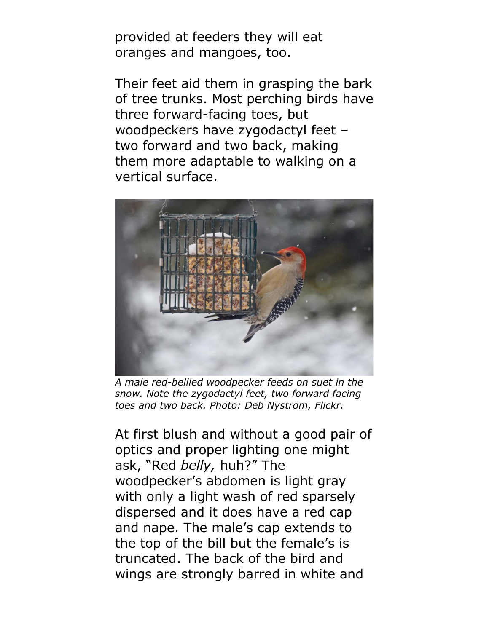provided at feeders they will eat oranges and mangoes, too.

Their feet aid them in grasping the bark of tree trunks. Most perching birds have three forward-facing toes, but woodpeckers have zygodactyl feet – two forward and two back, making them more adaptable to walking on a vertical surface.



*A male red-bellied woodpecker feeds on suet in the snow. Note the zygodactyl feet, two forward facing toes and two back. Photo: Deb Nystrom, Flickr.*

At first blush and without a good pair of optics and proper lighting one might ask, "Red *belly,* huh?" The woodpecker's abdomen is light gray with only a light wash of red sparsely dispersed and it does have a red cap and nape. The male's cap extends to the top of the bill but the female's is truncated. The back of the bird and wings are strongly barred in white and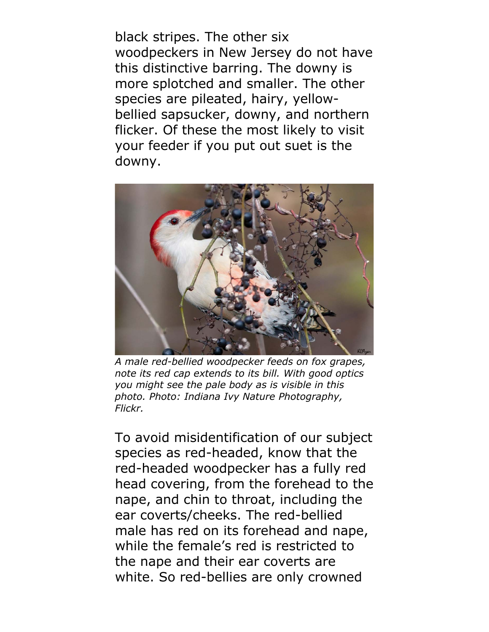black stripes. The other six woodpeckers in New Jersey do not have this distinctive barring. The downy is more splotched and smaller. The other species are pileated, hairy, yellowbellied sapsucker, downy, and northern flicker. Of these the most likely to visit your feeder if you put out suet is the downy.



*A male red-bellied woodpecker feeds on fox grapes, note its red cap extends to its bill. With good optics you might see the pale body as is visible in this photo. Photo: Indiana Ivy Nature Photography, Flickr.* 

To avoid misidentification of our subject species as red-headed, know that the red-headed woodpecker has a fully red head covering, from the forehead to the nape, and chin to throat, including the ear coverts/cheeks. The red-bellied male has red on its forehead and nape, while the female's red is restricted to the nape and their ear coverts are white. So red-bellies are only crowned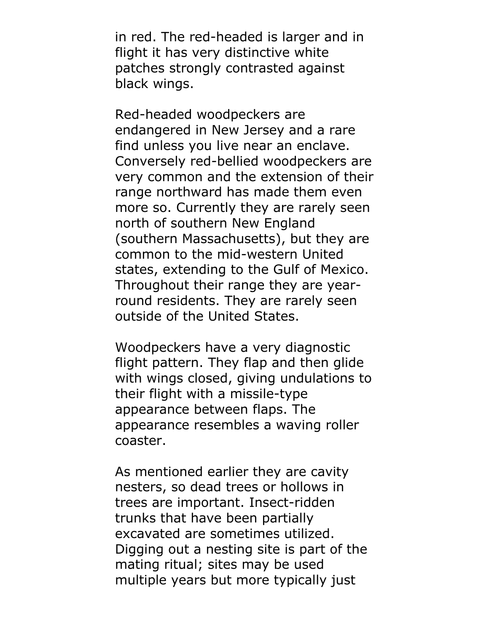in red. The red-headed is larger and in flight it has very distinctive white patches strongly contrasted against black wings.

Red-headed woodpeckers are endangered in New Jersey and a rare find unless you live near an enclave. Conversely red-bellied woodpeckers are very common and the extension of their range northward has made them even more so. Currently they are rarely seen north of southern New England (southern Massachusetts), but they are common to the mid-western United states, extending to the Gulf of Mexico. Throughout their range they are yearround residents. They are rarely seen outside of the United States.

Woodpeckers have a very diagnostic flight pattern. They flap and then glide with wings closed, giving undulations to their flight with a missile-type appearance between flaps. The appearance resembles a waving roller coaster.

As mentioned earlier they are cavity nesters, so dead trees or hollows in trees are important. Insect-ridden trunks that have been partially excavated are sometimes utilized. Digging out a nesting site is part of the mating ritual; sites may be used multiple years but more typically just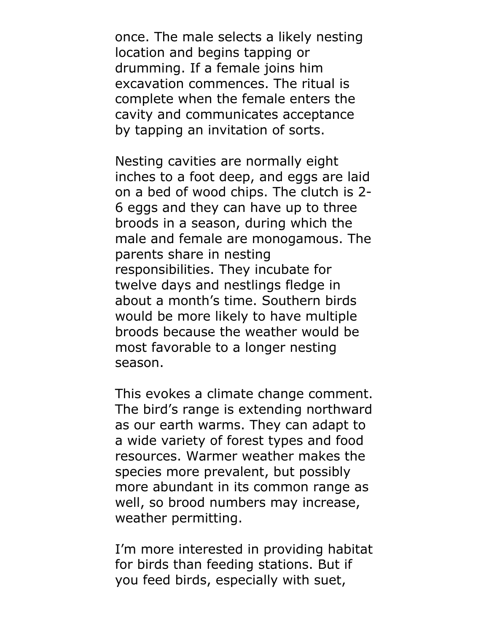once. The male selects a likely nesting location and begins tapping or drumming. If a female joins him excavation commences. The ritual is complete when the female enters the cavity and communicates acceptance by tapping an invitation of sorts.

Nesting cavities are normally eight inches to a foot deep, and eggs are laid on a bed of wood chips. The clutch is 2- 6 eggs and they can have up to three broods in a season, during which the male and female are monogamous. The parents share in nesting responsibilities. They incubate for twelve days and nestlings fledge in about a month's time. Southern birds would be more likely to have multiple broods because the weather would be most favorable to a longer nesting season.

This evokes a climate change comment. The bird's range is extending northward as our earth warms. They can adapt to a wide variety of forest types and food resources. Warmer weather makes the species more prevalent, but possibly more abundant in its common range as well, so brood numbers may increase, weather permitting.

I'm more interested in providing habitat for birds than feeding stations. But if you feed birds, especially with suet,